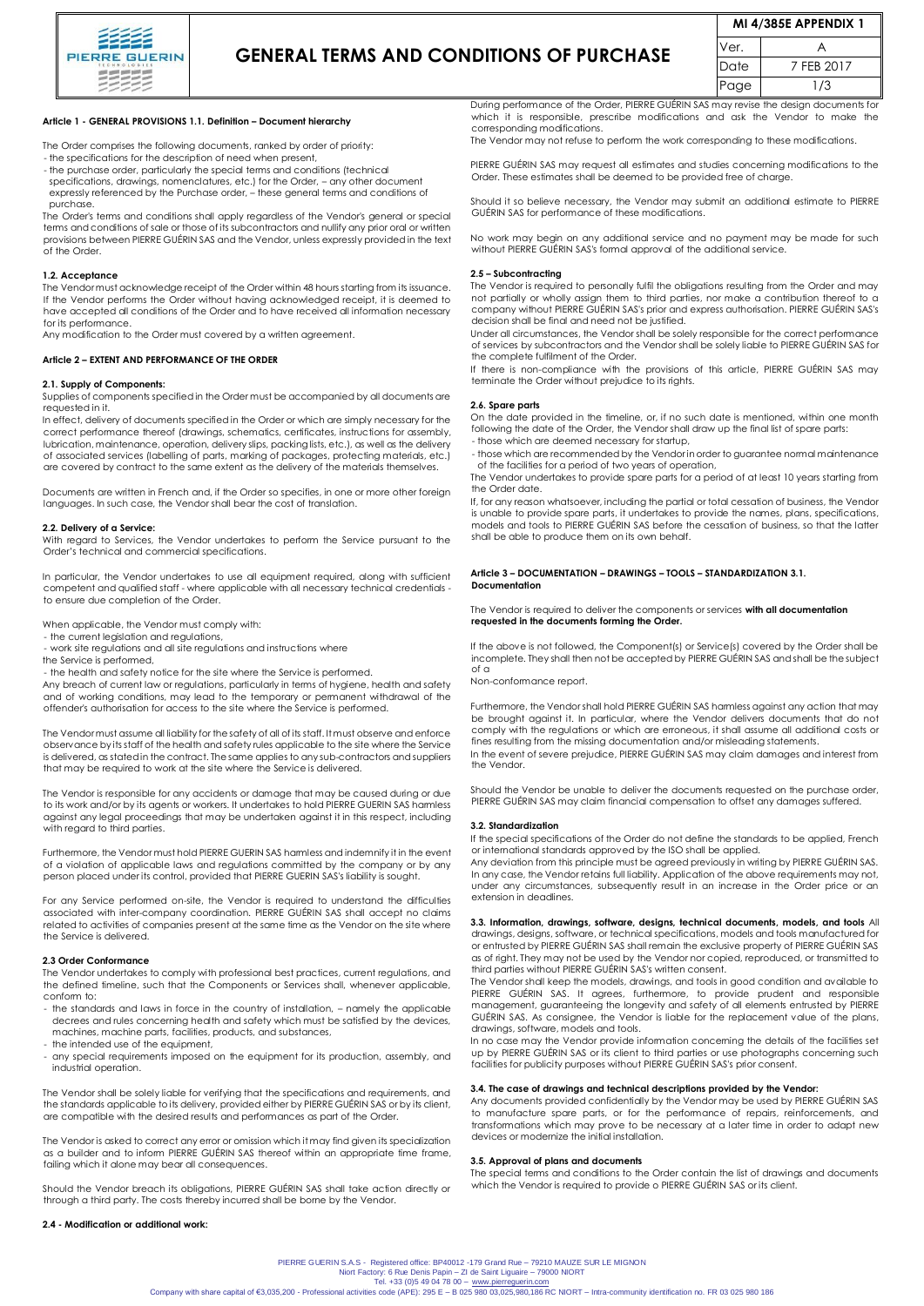

# **GENERAL TERMS AND CONDITIONS OF PURCHASE**

| <b>MI 4/385E APPENDIX 1</b> |            |
|-----------------------------|------------|
| Ver.                        |            |
| Date                        | 7 FFB 2017 |
| Page                        | 1/3        |

# **Article 1 - GENERAL PROVISIONS 1.1. Definition – Document hierarchy**

The Order comprises the following documents, ranked by order of priority:

- the specifications for the description of need when present,
- the purchase order, particularly the special terms and conditions (technical specifications, drawings, nomenclatures, etc.) for the Order, – any other document expressly referenced by the Purchase order, – these general terms and conditions of purchase.

The Order's terms and conditions shall apply regardless of the Vendor's general or special terms and conditions of sale or those of its subcontractors and nullify any prior oral or written provisions between PIERRE GUÉRIN SAS and the Vendor, unless expressly provided in the text of the Order.

#### **1.2. Acceptance**

The Vendor must acknowledge receipt of the Order within 48 hours starting from its issuance. If the Vendor performs the Order without having acknowledged receipt, it is deemed to have accepted all conditions of the Order and to have received all information necessary for its performance.

Any modification to the Order must covered by a written agreement.

#### **Article 2 – EXTENT AND PERFORMANCE OF THE ORDER**

#### **2.1. Supply of Components:**

Supplies of components specified in the Order must be accompanied by all documents are requested in it.

In effect, delivery of documents specified in the Order or which are simply necessary for the correct performance thereof (drawings, schematics, certificates, instructions for assembly, lubrication, maintenance, operation, delivery slips, packing lists, etc.), as well as the delivery of associated services (labelling of parts, marking of packages, protecting materials, etc.) are covered by contract to the same extent as the delivery of the materials themselves.

Documents are written in French and, if the Order so specifies, in one or more other foreign languages. In such case, the Vendor shall bear the cost of translation.

#### **2.2. Delivery of a Service:**

With regard to Services, the Vendor undertakes to perform the Service pursuant to the Order's technical and commercial specifications.

In particular, the Vendor undertakes to use all equipment required, along with sufficient competent and qualified staff - where applicable with all necessary technical credentials to ensure due completion of the Order.

When applicable, the Vendor must comply with:

- the current legislation and regulations,

- work site regulations and all site regulations and instructions where

the Service is performed, - the health and safety notice for the site where the Service is performed.

Any breach of current law or regulations, particularly in terms of hygiene, health and safety and of working conditions, may lead to the temporary or permanent withdrawal of the offender's authorisation for access to the site where the Service is performed.

The Vendor must assume all liability for the safety of all of its staff. It must observe and enforce observance by its staff of the health and safety rules applicable to the site where the Service is delivered, as stated in the contract. The same applies to any sub-contractors and suppliers that may be required to work at the site where the Service is delivered.

The Vendor is responsible for any accidents or damage that may be caused during or due to its work and/or by its agents or workers. It undertakes to hold PIERRE GUERIN SAS harmless against any legal proceedings that may be undertaken against it in this respect, including with regard to third parties.

Furthermore, the Vendor must hold PIERRE GUERIN SAS harmless and indemnify it in the event of a violation of applicable laws and regulations committed by the company or by any person placed under its control, provided that PIERRE GUERIN SAS's liability is sought.

For any Service performed on-site, the Vendor is required to understand the difficulties associated with inter-company coordination. PIERRE GUÉRIN SAS shall accept no claims related to activities of companies present at the same time as the Vendor on the site where the Service is delivered.

# **2.3 Order Conformance**

The Vendor undertakes to comply with professional best practices, current regulations, and the defined timeline, such that the Components or Services shall, whenever applicable, conform to:

- the standards and laws in force in the country of installation, namely the applicable decrees and rules concerning health and safety which must be satisfied by the devices, machines, machine parts, facilities, products, and substances,
- the intended use of the equipment
- any special requirements imposed on the equipment for its production, assembly, and industrial operation.

The Vendor shall be solely liable for verifying that the specifications and requirements, and the standards applicable to its delivery, provided either by PIERRE GUÉRIN SAS or by its client, are compatible with the desired results and performances as part of the Order.

The Vendor is asked to correct any error or omission which it may find given its specialization as a builder and to inform PIERRE GUÉRIN SAS thereof within an appropriate time frame, failing which it alone may bear all consequences.

Should the Vendor breach its obligations, PIERRE GUÉRIN SAS shall take action directly or through a third party. The costs thereby incurred shall be borne by the Vendor.

#### **2.4 - Modification or additional work:**

During performance of the Order, PIERRE GUÉRIN SAS may revise the design documents for which it is responsible, prescribe modifications and ask the Vendor to make the corresponding modifications.

The Vendor may not refuse to perform the work corresponding to these modifications.

PIERRE GUÉRIN SAS may request all estimates and studies concerning modifications to the Order. These estimates shall be deemed to be provided free of charge.

Should it so believe necessary, the Vendor may submit an additional estimate to PIERRE GUÉRIN SAS for performance of these modifications.

No work may begin on any additional service and no payment may be made for such without PIERRE GUÉRIN SAS's formal approval of the additional service.

#### **2.5 – Subcontracting**

The Vendor is required to personally fulfil the obligations resulting from the Order and may not partially or wholly assign them to third parties, nor make a contribution thereof to a company without PIERRE GUÉRIN SAS's prior and express authorisation. PIERRE GUÉRIN SAS's decision shall be final and need not be justified.

Under all circumstances, the Vendor shall be solely responsible for the correct performance of services by subcontractors and the Vendor shall be solely liable to PIERRE GUÉRIN SAS for the complete fulfilment of the Order.

If there is non-compliance with the provisions of this article, PIERRE GUÉRIN SAS may terminate the Order without prejudice to its rights.

#### **2.6. Spare parts**

On the date provided in the timeline, or, if no such date is mentioned, within one month following the date of the Order, the Vendor shall draw up the final list of spare parts:

- those which are deemed necessary for startup,

- those which are recommended by the Vendor in order to guarantee normal maintenance of the facilities for a period of two years of operation,

The Vendor undertakes to provide spare parts for a period of at least 10 years starting from the Order date.

If, for any reason whatsoever, including the partial or total cessation of business, the Vendor is unable to provide spare parts, it undertakes to provide the names, plans, specifications, models and tools to PIERRE GUÉRIN SAS before the cessation of business, so that the latter shall be able to produce them on its own behalf.

### **Article 3 – DOCUMENTATION – DRAWINGS – TOOLS – STANDARDIZATION 3.1. Documentation**

The Vendor is required to deliver the components or services **with all documentation requested in the documents forming the Order.** 

If the above is not followed, the Component(s) or Service(s) covered by the Order shall be incomplete. They shall then not be accepted by PIERRE GUÉRIN SAS and shall be the subject of a

Non-conformance report.

Furthermore, the Vendor shall hold PIERRE GUÉRIN SAS harmless against any action that may be brought against it. In particular, where the Vendor delivers documents that do not comply with the regulations or which are erroneous, it shall assume all additional costs or fines resulting from the missing documentation and/or misleading statements. In the event of severe prejudice, PIERRE GUÉRIN SAS may claim damages and interest from the Vendor.

Should the Vendor be unable to deliver the documents requested on the purchase order, PIERRE GUÉRIN SAS may claim financial compensation to offset any damages suffered.

#### **3.2. Standardization**

If the special specifications of the Order do not define the standards to be applied, French or international standards approved by the ISO shall be applied.

Any deviation from this principle must be agreed previously in writing by PIERRE GUÉRIN SAS. In any case, the Vendor retains full liability. Application of the above requirements may not, under any circumstances, subsequently result in an increase in the Order price or an extension in deadlines.

**3.3. Information, drawings, software, designs, technical documents, models, and tools** All drawings, designs, software, or technical specifications, models and tools manufactured for or entrusted by PIERRE GUÉRIN SAS shall remain the exclusive property of PIERRE GUÉRIN SAS as of right. They may not be used by the Vendor nor copied, reproduced, or transmitted to third parties without PIERRE GUÉRIN SAS's written consent.

The Vendor shall keep the models, drawings, and tools in good condition and available to PIERRE GUÉRIN SAS. It agrees, furthermore, to provide prudent and responsible management, guaranteeing the longevity and safety of all elements entrusted by PIERRE GUÉRIN SAS. As consignee, the Vendor is liable for the replacement value of the plans, drawings, software, models and tools.

In no case may the Vendor provide information concerning the details of the facilities set up by PIERRE GUÉRIN SAS or its client to third parties or use photographs concerning such facilities for publicity purposes without PIERRE GUÉRIN SAS's prior consent.

# **3.4. The case of drawings and technical descriptions provided by the Vendor:**

Any documents provided confidentially by the Vendor may be used by PIERRE GUÉRIN SAS to manufacture spare parts, or for the performance of repairs, reinforcements, and transformations which may prove to be necessary at a later time in order to adapt new devices or modernize the initial installation.

# **3.5. Approval of plans and documents**

The special terms and conditions to the Order contain the list of drawings and documents which the Vendor is required to provide o PIERRE GUÉRIN SAS or its client.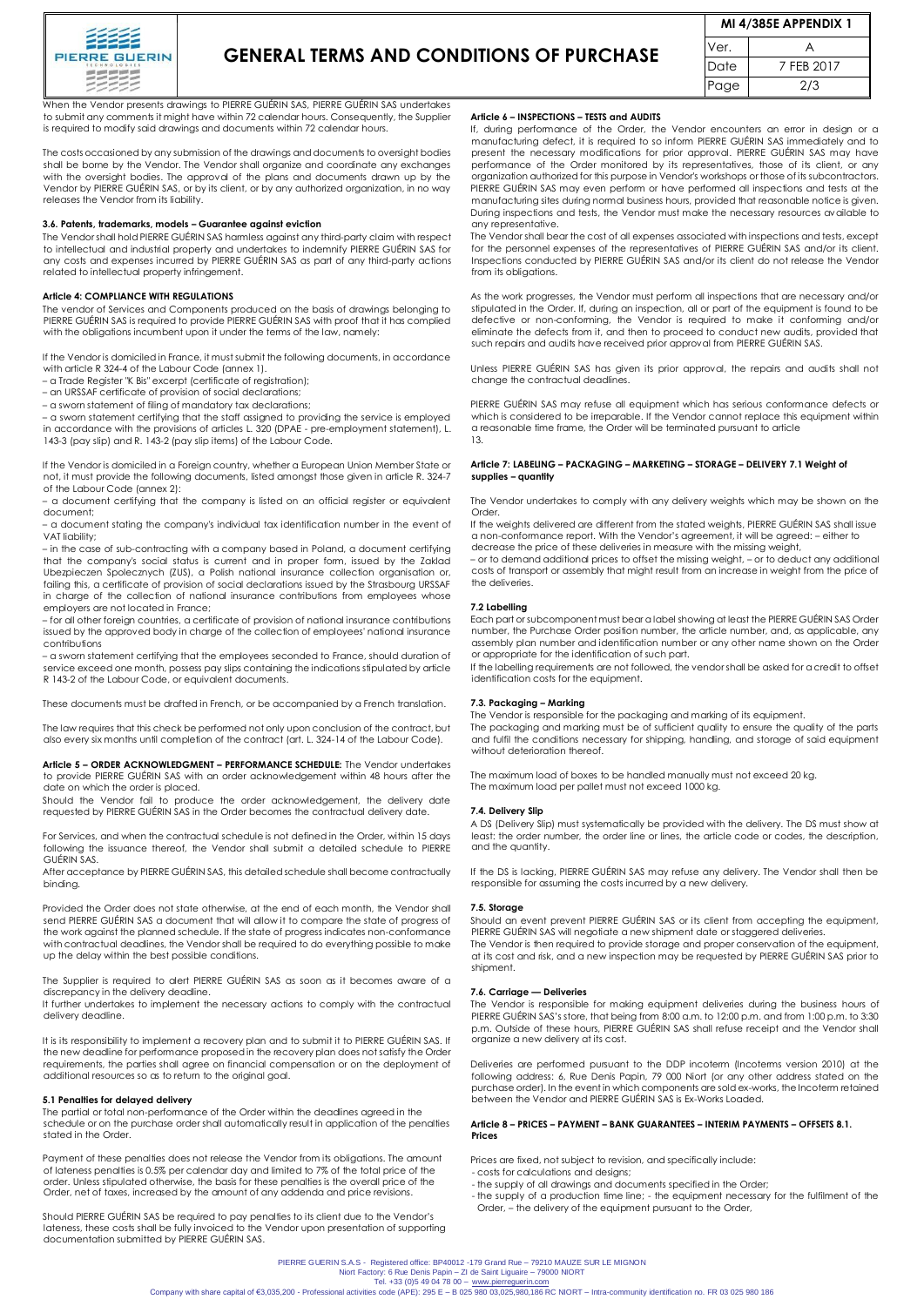

# **GENERAL TERMS AND CONDITIONS OF PURCHASE**

| <b>MI 4/385E APPENDIX 1</b> |            |  |
|-----------------------------|------------|--|
| √er.                        |            |  |
| Date                        | 7 FFB 2017 |  |
| Page                        | 2/3        |  |

When the Vendor presents drawings to PIERRE GUÉRIN SAS, PIERRE GUÉRIN SAS undertakes to submit any comments it might have within 72 calendar hours. Consequently, the Supplier is required to modify said drawings and documents within 72 calendar hours.

The costs occasioned by any submission of the drawings and documents to oversight bodies shall be borne by the Vendor. The Vendor shall organize and coordinate any exchanges with the oversight bodies. The approval of the plans and documents drawn up by the Vendor by PIERRE GUÉRIN SAS, or by its client, or by any authorized organization, in no way releases the Vendor from its liability.

#### **3.6. Patents, trademarks, models – Guarantee against eviction**

The Vendor shall hold PIERRE GUÉRIN SAS harmless against any third-party claim with respect to intellectual and industrial property and undertakes to indemnify PIERRE GUÉRIN SAS for any costs and expenses incurred by PIERRE GUÉRIN SAS as part of any third-party actions related to intellectual property infringement.

# **Article 4: COMPLIANCE WITH REGULATIONS**

The vendor of Services and Components produced on the basis of drawings belonging to PIERRE GUÉRIN SAS is required to provide PIERRE GUÉRIN SAS with proof that it has complied with the obligations incumbent upon it under the terms of the law, namely:

If the Vendor is domiciled in France, it must submit the following documents, in accordance with article R 324-4 of the Labour Code (annex 1). – a Trade Register "K Bis" excerpt (certificate of registration);

– an URSSAF certificate of provision of social declarations;

– a sworn statement of filing of mandatory tax declarations;

– a sworn statement certifying that the staff assigned to providing the service is employed in accordance with the provisions of articles L. 320 (DPAE - pre-employment statement), L. 143-3 (pay slip) and R. 143-2 (pay slip items) of the Labour Code.

If the Vendor is domiciled in a Foreign country, whether a European Union Member State or not, it must provide the following documents, listed amongst those given in article R. 324-7 of the Labour Code (annex 2):

– a document certifying that the company is listed on an official register or equivalent document;

– a document stating the company's individual tax identification number in the event of VAT liability;

– in the case of sub-contracting with a company based in Poland, a document certifying that the company's social status is current and in proper form, issued by the Zaklad Ubezpieczen Spolecznych (ZUS), a Polish national insurance collection organisation or, failing this, a certificate of provision of social declarations issued by the Strasbourg URSSAF in charge of the collection of national insurance contributions from employees whose employers are not located in France;

– for all other foreign countries, a certificate of provision of national insurance contributions issued by the approved body in charge of the collection of employees' national insurance contributions

– a sworn statement certifying that the employees seconded to France, should duration of service exceed one month, possess pay slips containing the indications stipulated by article R 143-2 of the Labour Code, or equivalent documents.

These documents must be drafted in French, or be accompanied by a French translation.

The law requires that this check be performed not only upon conclusion of the contract, but also every six months until completion of the contract (art. L. 324-14 of the Labour Code).

**Article 5 – ORDER ACKNOWLEDGMENT – PERFORMANCE SCHEDULE:** The Vendor undertakes to provide PIERRE GUÉRIN SAS with an order acknowledgement within 48 hours after the date on which the order is placed.

Should the Vendor fail to produce the order acknowledgement, the delivery date requested by PIERRE GUÉRIN SAS in the Order becomes the contractual delivery date.

For Services, and when the contractual schedule is not defined in the Order, within 15 days following the issuance thereof, the Vendor shall submit a detailed schedule to PIERRE GUÉRIN SAS.

After acceptance by PIERRE GUÉRIN SAS, this detailed schedule shall become contractually binding.

Provided the Order does not state otherwise, at the end of each month, the Vendor shall send PIERRE GUÉRIN SAS a document that will allow it to compare the state of progress of the work against the planned schedule. If the state of progress indicates non-conformance with contractual deadlines, the Vendor shall be required to do everything possible to make up the delay within the best possible conditions.

The Supplier is required to alert PIERRE GUÉRIN SAS as soon as it becomes aware of a discrepancy in the delivery deadline.

It further undertakes to implement the necessary actions to comply with the contractual delivery deadline.

It is its responsibility to implement a recovery plan and to submit it to PIERRE GUÉRIN SAS. If the new deadline for performance proposed in the recovery plan does not satisfy the Order requirements, the parties shall agree on financial compensation or on the deployment of additional resources so as to return to the original goal.

**5.1 Penalties for delayed delivery**<br>The partial or total non-performance of the Order within the deadlines agreed in the schedule or on the purchase order shall automatically result in application of the penalties stated in the Order.

Payment of these penalties does not release the Vendor from its obligations. The amount of lateness penalties is 0.5% per calendar day and limited to 7% of the total price of the order. Unless stipulated otherwise, the basis for these penalties is the overall price of the Order, net of taxes, increased by the amount of any addenda and price revisions.

Should PIERRE GUÉRIN SAS be required to pay penalties to its client due to the Vendor's lateness, these costs shall be fully invoiced to the Vendor upon presentation of supporting documentation submitted by PIERRE GUÉRIN SAS.

# **Article 6 – INSPECTIONS – TESTS and AUDITS**

If, during performance of the Order, the Vendor encounters an error in design or a manufacturing defect, it is required to so inform PIERRE GUÉRIN SAS immediately and to present the necessary modifications for prior approval. PIERRE GUÉRIN SAS may have performance of the Order monitored by its representatives, those of its client, or any organization authorized for this purpose in Vendor's workshops or those of its subcontractors. PIERRE GUÉRIN SAS may even perform or have performed all inspections and tests at the manufacturing sites during normal business hours, provided that reasonable notice is given. During inspections and tests, the Vendor must make the necessary resources available to any representative.

The Vendor shall bear the cost of all expenses associated with inspections and tests, except for the personnel expenses of the representatives of PIERRE GUÉRIN SAS and/or its client. Inspections conducted by PIERRE GUÉRIN SAS and/or its client do not release the Vendor from its obligations.

As the work progresses, the Vendor must perform all inspections that are necessary and/or stipulated in the Order. If, during an inspection, all or part of the equipment is found to be defective or non-conforming, the Vendor is required to make it conforming and/or eliminate the defects from it, and then to proceed to conduct new audits, provided that such repairs and audits have received prior approval from PIERRE GUÉRIN SAS.

Unless PIERRE GUÉRIN SAS has given its prior approval, the repairs and audits shall not change the contractual deadlines.

PIERRE GUÉRIN SAS may refuse all equipment which has serious conformance defects or which is considered to be irreparable. If the Vendor cannot replace this equipment within a reasonable time frame, the Order will be terminated pursuant to article 13.

## **Article 7: LABELING – PACKAGING – MARKETING – STORAGE – DELIVERY 7.1 Weight of supplies – quantity**

The Vendor undertakes to comply with any delivery weights which may be shown on the **Order** 

If the weights delivered are different from the stated weights, PIERRE GUÉRIN SAS shall issue a non-conformance report. With the Vendor's agreement, it will be agreed: – either to decrease the price of these deliveries in measure with the missing weight,

– or to demand additional prices to offset the missing weight, – or to deduct any additional costs of transport or assembly that might result from an increase in weight from the price of the deliveries.

## **7.2 Labelling**

Each part or subcomponent must bear a label showing at least the PIERRE GUÉRIN SAS Order number, the Purchase Order position number, the article number, and, as applicable, any assembly plan number and identification number or any other name shown on the Order or appropriate for the identification of such part.

If the labelling requirements are not followed, the vendor shall be asked for a credit to offset identification costs for the equipment.

#### **7.3. Packaging – Marking**

The Vendor is responsible for the packaging and marking of its equipment. The packaging and marking must be of sufficient quality to ensure the quality of the parts and fulfil the conditions necessary for shipping, handling, and storage of said equipment without deterioration thereof.

The maximum load of boxes to be handled manually must not exceed 20 kg. The maximum load per pallet must not exceed 1000 kg.

#### **7.4. Delivery Slip**

A DS (Delivery Slip) must systematically be provided with the delivery. The DS must show at least: the order number, the order line or lines, the article code or codes, the description, and the quantity.

If the DS is lacking, PIERRE GUÉRIN SAS may refuse any delivery. The Vendor shall then be responsible for assuming the costs incurred by a new delivery.

#### **7.5. Storage**

Should an event prevent PIERRE GUÉRIN SAS or its client from accepting the equipment, PIERRE GUÉRIN SAS will negotiate a new shipment date or staggered deliveries.

The Vendor is then required to provide storage and proper conservation of the equipment, at its cost and risk, and a new inspection may be requested by PIERRE GUÉRIN SAS prior to shipment.

# **7.6. Carriage — Deliveries**

The Vendor is responsible for making equipment deliveries during the business hours of PIERRE GUÉRIN SAS's store, that being from 8:00 a.m. to 12:00 p.m. and from 1:00 p.m. to 3:30 p.m. Outside of these hours, PIERRE GUÉRIN SAS shall refuse receipt and the Vendor shall organize a new delivery at its cost.

Deliveries are performed pursuant to the DDP incoterm (Incoterms version 2010) at the following address: 6, Rue Denis Papin, 79 000 Niort (or any other address stated on the purchase order). In the event in which components are sold ex-works, the Incoterm retained between the Vendor and PIERRE GUÉRIN SAS is Ex-Works Loaded.

# **Article 8 – PRICES – PAYMENT – BANK GUARANTEES – INTERIM PAYMENTS – OFFSETS 8.1. Prices**

Prices are fixed, not subject to revision, and specifically include: - costs for calculations and designs;

- 
- the supply of all drawings and documents specified in the Order;
- the supply of a production time line; the equipment necessary for the fulfilment of the Order, – the delivery of the equipment pursuant to the Order,